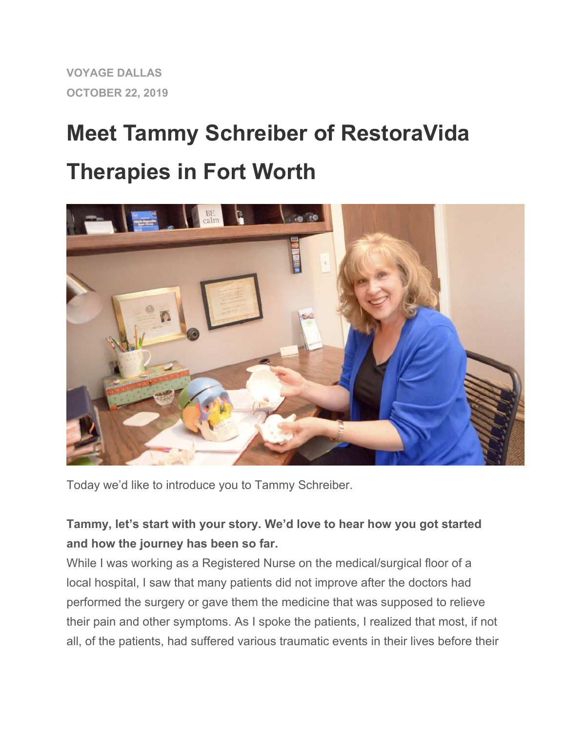**VOYAGE DALLAS OCTOBER 22, 2019**

## **Meet Tammy Schreiber of RestoraVida Therapies in Fort Worth**



Today we'd like to introduce you to Tammy Schreiber.

### **Tammy, let's start with your story. We'd love to hear how you got started and how the journey has been so far.**

While I was working as a Registered Nurse on the medical/surgical floor of a local hospital, I saw that many patients did not improve after the doctors had performed the surgery or gave them the medicine that was supposed to relieve their pain and other symptoms. As I spoke the patients, I realized that most, if not all, of the patients, had suffered various traumatic events in their lives before their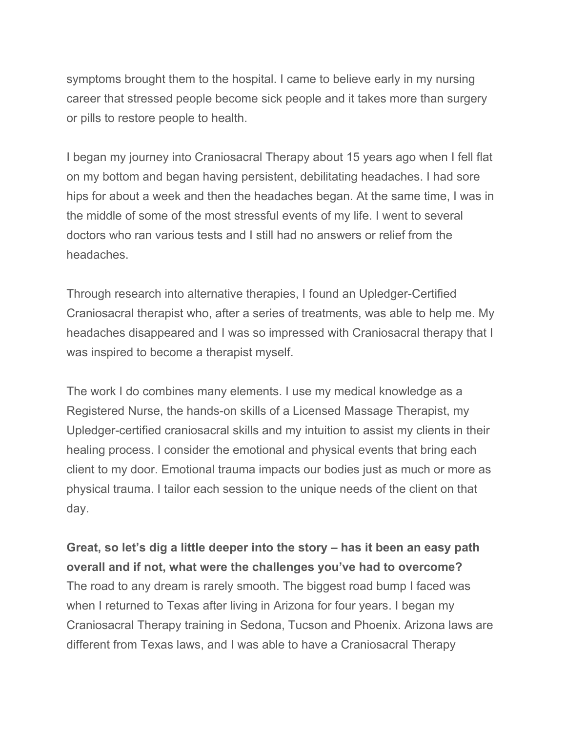symptoms brought them to the hospital. I came to believe early in my nursing career that stressed people become sick people and it takes more than surgery or pills to restore people to health.

I began my journey into Craniosacral Therapy about 15 years ago when I fell flat on my bottom and began having persistent, debilitating headaches. I had sore hips for about a week and then the headaches began. At the same time, I was in the middle of some of the most stressful events of my life. I went to several doctors who ran various tests and I still had no answers or relief from the headaches.

Through research into alternative therapies, I found an Upledger-Certified Craniosacral therapist who, after a series of treatments, was able to help me. My headaches disappeared and I was so impressed with Craniosacral therapy that I was inspired to become a therapist myself.

The work I do combines many elements. I use my medical knowledge as a Registered Nurse, the hands-on skills of a Licensed Massage Therapist, my Upledger-certified craniosacral skills and my intuition to assist my clients in their healing process. I consider the emotional and physical events that bring each client to my door. Emotional trauma impacts our bodies just as much or more as physical trauma. I tailor each session to the unique needs of the client on that day.

**Great, so let's dig a little deeper into the story – has it been an easy path overall and if not, what were the challenges you've had to overcome?**  The road to any dream is rarely smooth. The biggest road bump I faced was when I returned to Texas after living in Arizona for four years. I began my Craniosacral Therapy training in Sedona, Tucson and Phoenix. Arizona laws are different from Texas laws, and I was able to have a Craniosacral Therapy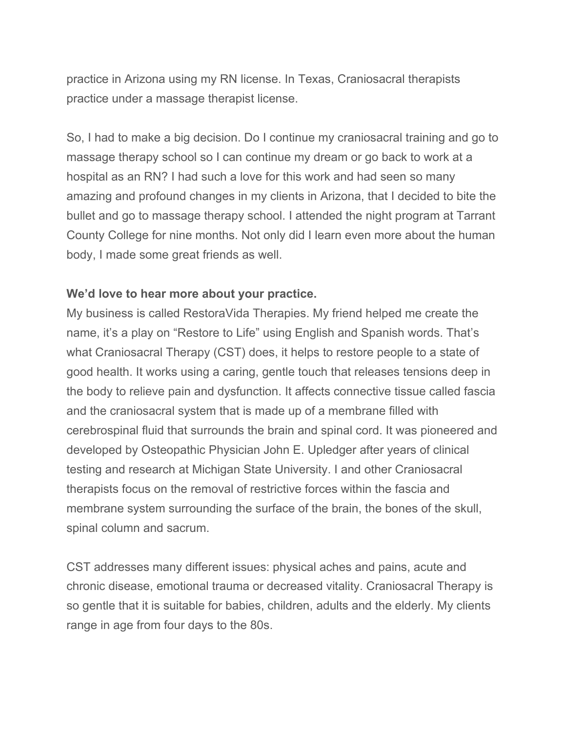practice in Arizona using my RN license. In Texas, Craniosacral therapists practice under a massage therapist license.

So, I had to make a big decision. Do I continue my craniosacral training and go to massage therapy school so I can continue my dream or go back to work at a hospital as an RN? I had such a love for this work and had seen so many amazing and profound changes in my clients in Arizona, that I decided to bite the bullet and go to massage therapy school. I attended the night program at Tarrant County College for nine months. Not only did I learn even more about the human body, I made some great friends as well.

#### **We'd love to hear more about your practice.**

My business is called RestoraVida Therapies. My friend helped me create the name, it's a play on "Restore to Life" using English and Spanish words. That's what Craniosacral Therapy (CST) does, it helps to restore people to a state of good health. It works using a caring, gentle touch that releases tensions deep in the body to relieve pain and dysfunction. It affects connective tissue called fascia and the craniosacral system that is made up of a membrane filled with cerebrospinal fluid that surrounds the brain and spinal cord. It was pioneered and developed by Osteopathic Physician John E. Upledger after years of clinical testing and research at Michigan State University. I and other Craniosacral therapists focus on the removal of restrictive forces within the fascia and membrane system surrounding the surface of the brain, the bones of the skull, spinal column and sacrum.

CST addresses many different issues: physical aches and pains, acute and chronic disease, emotional trauma or decreased vitality. Craniosacral Therapy is so gentle that it is suitable for babies, children, adults and the elderly. My clients range in age from four days to the 80s.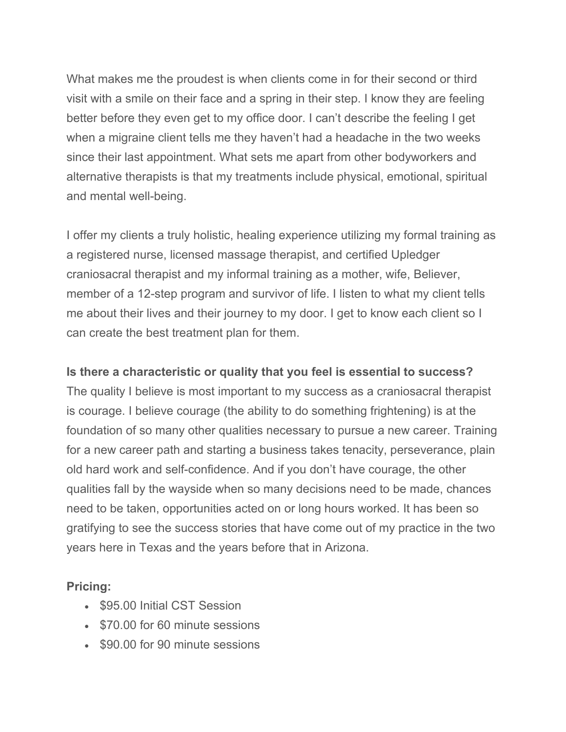What makes me the proudest is when clients come in for their second or third visit with a smile on their face and a spring in their step. I know they are feeling better before they even get to my office door. I can't describe the feeling I get when a migraine client tells me they haven't had a headache in the two weeks since their last appointment. What sets me apart from other bodyworkers and alternative therapists is that my treatments include physical, emotional, spiritual and mental well-being.

I offer my clients a truly holistic, healing experience utilizing my formal training as a registered nurse, licensed massage therapist, and certified Upledger craniosacral therapist and my informal training as a mother, wife, Believer, member of a 12-step program and survivor of life. I listen to what my client tells me about their lives and their journey to my door. I get to know each client so I can create the best treatment plan for them.

#### **Is there a characteristic or quality that you feel is essential to success?**

The quality I believe is most important to my success as a craniosacral therapist is courage. I believe courage (the ability to do something frightening) is at the foundation of so many other qualities necessary to pursue a new career. Training for a new career path and starting a business takes tenacity, perseverance, plain old hard work and self-confidence. And if you don't have courage, the other qualities fall by the wayside when so many decisions need to be made, chances need to be taken, opportunities acted on or long hours worked. It has been so gratifying to see the success stories that have come out of my practice in the two years here in Texas and the years before that in Arizona.

#### **Pricing:**

- \$95.00 Initial CST Session
- \$70.00 for 60 minute sessions
- \$90.00 for 90 minute sessions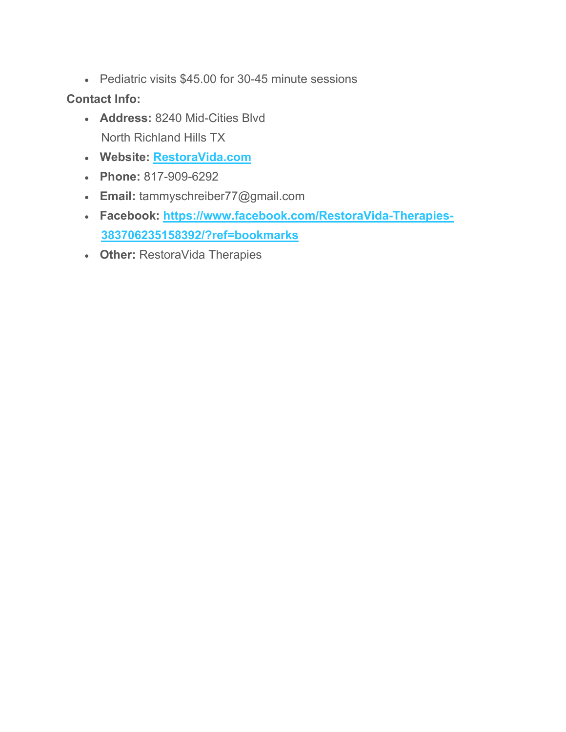• Pediatric visits \$45.00 for 30-45 minute sessions

#### **Contact Info:**

- **Address:** 8240 Mid-Cities Blvd North Richland Hills TX
- **Website: RestoraVida.com**
- **Phone:** 817-909-6292
- **Email:** tammyschreiber77@gmail.com
- **Facebook: https://www.facebook.com/RestoraVida-Therapies-383706235158392/?ref=bookmarks**
- **Other:** RestoraVida Therapies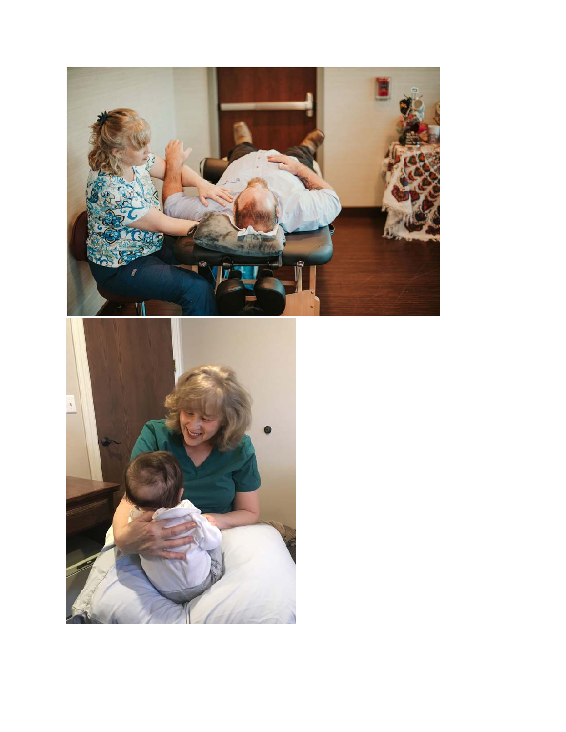

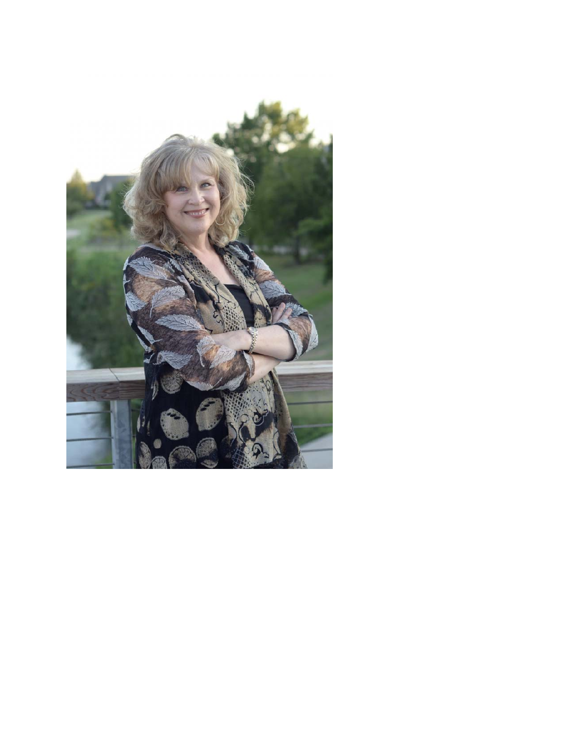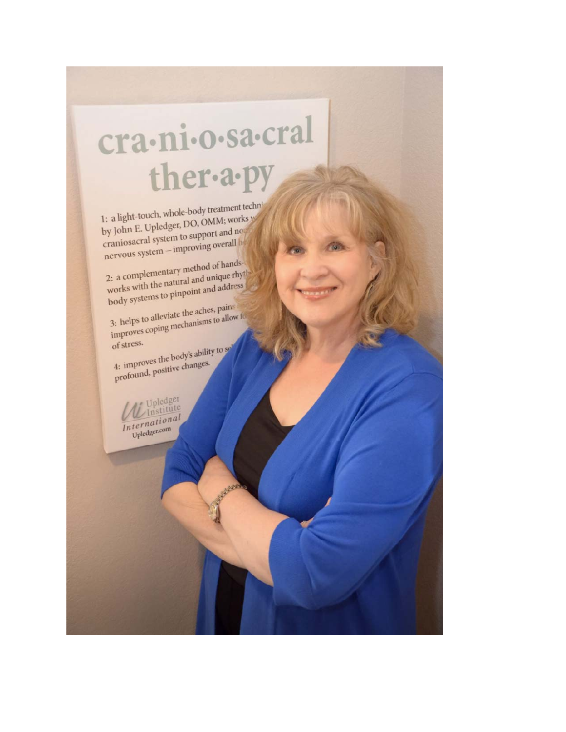# cra·ni·o·sa·cral ther-a-py

1: a light-touch, whole-body treatment techni by John E. Upledger, DO, OMM; works y craniosacral system to support and no nervous system - improving overall he

2: a complementary method of handsworks with the natural and unique rhyth body systems to pinpoint and address

3: helps to alleviate the aches, pains improves coping mechanisms to allow for of stress.

4: improves the body's ability to so profound, positive changes.

Upledger nstitute International Upledger.com